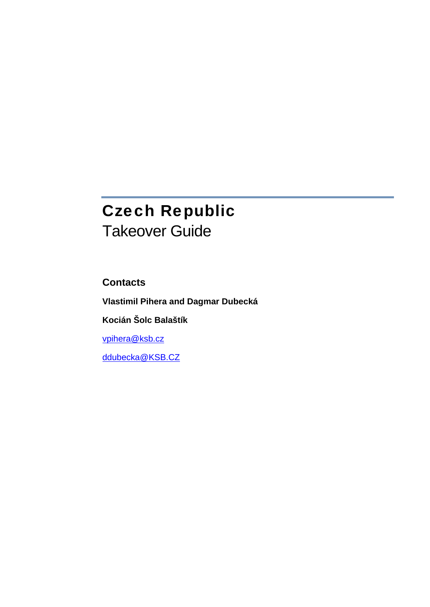# Czech Republic Takeover Guide

**Contacts** 

**Vlastimil Pihera and Dagmar Dubecká** 

**Kocián Šolc Balaštík** 

[vpihera@ksb.cz](mailto:vpihera@ksb.cz)

[ddubecka@KSB.CZ](mailto:ddubecka@KSB.CZ)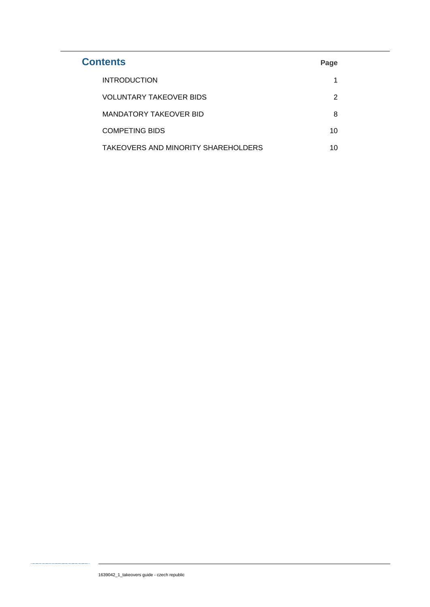| <b>Contents</b>                     | Page |
|-------------------------------------|------|
| <b>INTRODUCTION</b>                 |      |
| <b>VOLUNTARY TAKEOVER BIDS</b>      | 2    |
| MANDATORY TAKEOVER BID              | 8    |
| <b>COMPETING BIDS</b>               | 10   |
| TAKEOVERS AND MINORITY SHAREHOLDERS | 10   |

. . . . . . . . . . . .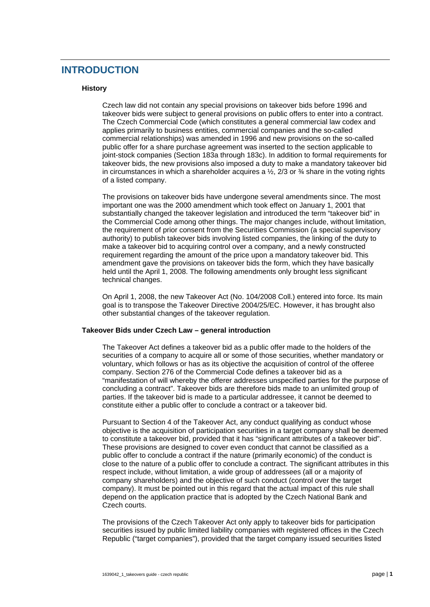# <span id="page-2-0"></span>**INTRODUCTION**

# **History**

Czech law did not contain any special provisions on takeover bids before 1996 and takeover bids were subject to general provisions on public offers to enter into a contract. The Czech Commercial Code (which constitutes a general commercial law codex and applies primarily to business entities, commercial companies and the so-called commercial relationships) was amended in 1996 and new provisions on the so-called public offer for a share purchase agreement was inserted to the section applicable to joint-stock companies (Section 183a through 183c). In addition to formal requirements for takeover bids, the new provisions also imposed a duty to make a mandatory takeover bid in circumstances in which a shareholder acquires a  $\frac{1}{2}$ , 2/3 or  $\frac{3}{4}$  share in the voting rights of a listed company.

The provisions on takeover bids have undergone several amendments since. The most important one was the 2000 amendment which took effect on January 1, 2001 that substantially changed the takeover legislation and introduced the term "takeover bid" in the Commercial Code among other things. The major changes include, without limitation, the requirement of prior consent from the Securities Commission (a special supervisory authority) to publish takeover bids involving listed companies, the linking of the duty to make a takeover bid to acquiring control over a company, and a newly constructed requirement regarding the amount of the price upon a mandatory takeover bid. This amendment gave the provisions on takeover bids the form, which they have basically held until the April 1, 2008. The following amendments only brought less significant technical changes.

On April 1, 2008, the new Takeover Act (No. 104/2008 Coll.) entered into force. Its main goal is to transpose the Takeover Directive 2004/25/EC. However, it has brought also other substantial changes of the takeover regulation.

# **Takeover Bids under Czech Law – general introduction**

The Takeover Act defines a takeover bid as a public offer made to the holders of the securities of a company to acquire all or some of those securities, whether mandatory or voluntary, which follows or has as its objective the acquisition of control of the offeree company. Section 276 of the Commercial Code defines a takeover bid as a "manifestation of will whereby the offerer addresses unspecified parties for the purpose of concluding a contract". Takeover bids are therefore bids made to an unlimited group of parties. If the takeover bid is made to a particular addressee, it cannot be deemed to constitute either a public offer to conclude a contract or a takeover bid.

Pursuant to Section 4 of the Takeover Act, any conduct qualifying as conduct whose objective is the acquisition of participation securities in a target company shall be deemed to constitute a takeover bid, provided that it has "significant attributes of a takeover bid". These provisions are designed to cover even conduct that cannot be classified as a public offer to conclude a contract if the nature (primarily economic) of the conduct is close to the nature of a public offer to conclude a contract. The significant attributes in this respect include, without limitation, a wide group of addressees (all or a majority of company shareholders) and the objective of such conduct (control over the target company). It must be pointed out in this regard that the actual impact of this rule shall depend on the application practice that is adopted by the Czech National Bank and Czech courts.

The provisions of the Czech Takeover Act only apply to takeover bids for participation securities issued by public limited liability companies with registered offices in the Czech Republic ("target companies"), provided that the target company issued securities listed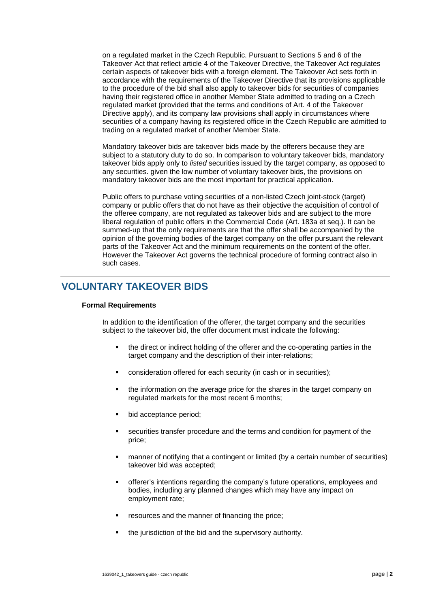<span id="page-3-0"></span>on a regulated market in the Czech Republic. Pursuant to Sections 5 and 6 of the Takeover Act that reflect article 4 of the Takeover Directive, the Takeover Act regulates certain aspects of takeover bids with a foreign element. The Takeover Act sets forth in accordance with the requirements of the Takeover Directive that its provisions applicable to the procedure of the bid shall also apply to takeover bids for securities of companies having their registered office in another Member State admitted to trading on a Czech regulated market (provided that the terms and conditions of Art. 4 of the Takeover Directive apply), and its company law provisions shall apply in circumstances where securities of a company having its registered office in the Czech Republic are admitted to trading on a regulated market of another Member State.

Mandatory takeover bids are takeover bids made by the offerers because they are subject to a statutory duty to do so. In comparison to voluntary takeover bids, mandatory takeover bids apply only to *listed* securities issued by the target company, as opposed to any securities. given the low number of voluntary takeover bids, the provisions on mandatory takeover bids are the most important for practical application.

Public offers to purchase voting securities of a non-listed Czech joint-stock (target) company or public offers that do not have as their objective the acquisition of control of the offeree company, are not regulated as takeover bids and are subject to the more liberal regulation of public offers in the Commercial Code (Art. 183a et seq.). It can be summed-up that the only requirements are that the offer shall be accompanied by the opinion of the governing bodies of the target company on the offer pursuant the relevant parts of the Takeover Act and the minimum requirements on the content of the offer. However the Takeover Act governs the technical procedure of forming contract also in such cases.

# **VOLUNTARY TAKEOVER BIDS**

# **Formal Requirements**

In addition to the identification of the offerer, the target company and the securities subject to the takeover bid, the offer document must indicate the following:

- the direct or indirect holding of the offerer and the co-operating parties in the target company and the description of their inter-relations;
- consideration offered for each security (in cash or in securities);
- the information on the average price for the shares in the target company on regulated markets for the most recent 6 months;
- bid acceptance period;
- securities transfer procedure and the terms and condition for payment of the price;
- manner of notifying that a contingent or limited (by a certain number of securities) takeover bid was accepted;
- offerer's intentions regarding the company's future operations, employees and bodies, including any planned changes which may have any impact on employment rate;
- resources and the manner of financing the price;
- the jurisdiction of the bid and the supervisory authority.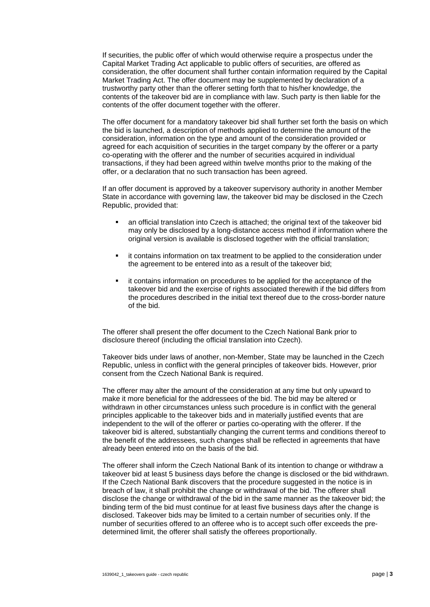If securities, the public offer of which would otherwise require a prospectus under the Capital Market Trading Act applicable to public offers of securities, are offered as consideration, the offer document shall further contain information required by the Capital Market Trading Act. The offer document may be supplemented by declaration of a trustworthy party other than the offerer setting forth that to his/her knowledge, the contents of the takeover bid are in compliance with law. Such party is then liable for the contents of the offer document together with the offerer.

The offer document for a mandatory takeover bid shall further set forth the basis on which the bid is launched, a description of methods applied to determine the amount of the consideration, information on the type and amount of the consideration provided or agreed for each acquisition of securities in the target company by the offerer or a party co-operating with the offerer and the number of securities acquired in individual transactions, if they had been agreed within twelve months prior to the making of the offer, or a declaration that no such transaction has been agreed.

If an offer document is approved by a takeover supervisory authority in another Member State in accordance with governing law, the takeover bid may be disclosed in the Czech Republic, provided that:

- an official translation into Czech is attached; the original text of the takeover bid may only be disclosed by a long-distance access method if information where the original version is available is disclosed together with the official translation;
- **i** it contains information on tax treatment to be applied to the consideration under the agreement to be entered into as a result of the takeover bid;
- it contains information on procedures to be applied for the acceptance of the takeover bid and the exercise of rights associated therewith if the bid differs from the procedures described in the initial text thereof due to the cross-border nature of the bid.

The offerer shall present the offer document to the Czech National Bank prior to disclosure thereof (including the official translation into Czech).

Takeover bids under laws of another, non-Member, State may be launched in the Czech Republic, unless in conflict with the general principles of takeover bids. However, prior consent from the Czech National Bank is required.

The offerer may alter the amount of the consideration at any time but only upward to make it more beneficial for the addressees of the bid. The bid may be altered or withdrawn in other circumstances unless such procedure is in conflict with the general principles applicable to the takeover bids and in materially justified events that are independent to the will of the offerer or parties co-operating with the offerer. If the takeover bid is altered, substantially changing the current terms and conditions thereof to the benefit of the addressees, such changes shall be reflected in agreements that have already been entered into on the basis of the bid.

The offerer shall inform the Czech National Bank of its intention to change or withdraw a takeover bid at least 5 business days before the change is disclosed or the bid withdrawn. If the Czech National Bank discovers that the procedure suggested in the notice is in breach of law, it shall prohibit the change or withdrawal of the bid. The offerer shall disclose the change or withdrawal of the bid in the same manner as the takeover bid; the binding term of the bid must continue for at least five business days after the change is disclosed. Takeover bids may be limited to a certain number of securities only. If the number of securities offered to an offeree who is to accept such offer exceeds the predetermined limit, the offerer shall satisfy the offerees proportionally.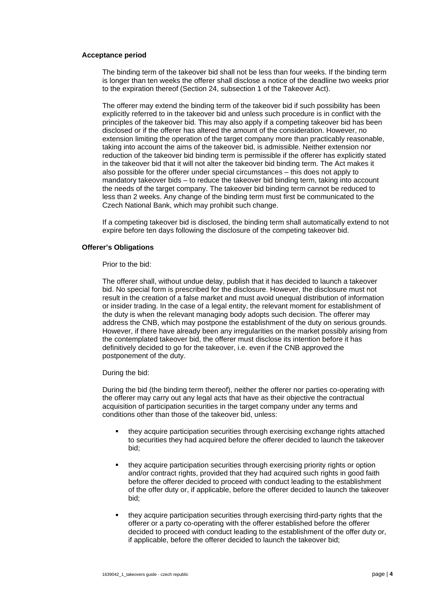## **Acceptance period**

The binding term of the takeover bid shall not be less than four weeks. If the binding term is longer than ten weeks the offerer shall disclose a notice of the deadline two weeks prior to the expiration thereof (Section 24, subsection 1 of the Takeover Act).

The offerer may extend the binding term of the takeover bid if such possibility has been explicitly referred to in the takeover bid and unless such procedure is in conflict with the principles of the takeover bid. This may also apply if a competing takeover bid has been disclosed or if the offerer has altered the amount of the consideration. However, no extension limiting the operation of the target company more than practicably reasonable, taking into account the aims of the takeover bid, is admissible. Neither extension nor reduction of the takeover bid binding term is permissible if the offerer has explicitly stated in the takeover bid that it will not alter the takeover bid binding term. The Act makes it also possible for the offerer under special circumstances – this does not apply to mandatory takeover bids – to reduce the takeover bid binding term, taking into account the needs of the target company. The takeover bid binding term cannot be reduced to less than 2 weeks. Any change of the binding term must first be communicated to the Czech National Bank, which may prohibit such change.

If a competing takeover bid is disclosed, the binding term shall automatically extend to not expire before ten days following the disclosure of the competing takeover bid.

# **Offerer's Obligations**

Prior to the bid:

The offerer shall, without undue delay, publish that it has decided to launch a takeover bid. No special form is prescribed for the disclosure. However, the disclosure must not result in the creation of a false market and must avoid unequal distribution of information or insider trading. In the case of a legal entity, the relevant moment for establishment of the duty is when the relevant managing body adopts such decision. The offerer may address the CNB, which may postpone the establishment of the duty on serious grounds. However, if there have already been any irregularities on the market possibly arising from the contemplated takeover bid, the offerer must disclose its intention before it has definitively decided to go for the takeover, i.e. even if the CNB approved the postponement of the duty.

During the bid:

During the bid (the binding term thereof), neither the offerer nor parties co-operating with the offerer may carry out any legal acts that have as their objective the contractual acquisition of participation securities in the target company under any terms and conditions other than those of the takeover bid, unless:

- they acquire participation securities through exercising exchange rights attached to securities they had acquired before the offerer decided to launch the takeover bid;
- they acquire participation securities through exercising priority rights or option and/or contract rights, provided that they had acquired such rights in good faith before the offerer decided to proceed with conduct leading to the establishment of the offer duty or, if applicable, before the offerer decided to launch the takeover bid;
- they acquire participation securities through exercising third-party rights that the offerer or a party co-operating with the offerer established before the offerer decided to proceed with conduct leading to the establishment of the offer duty or, if applicable, before the offerer decided to launch the takeover bid;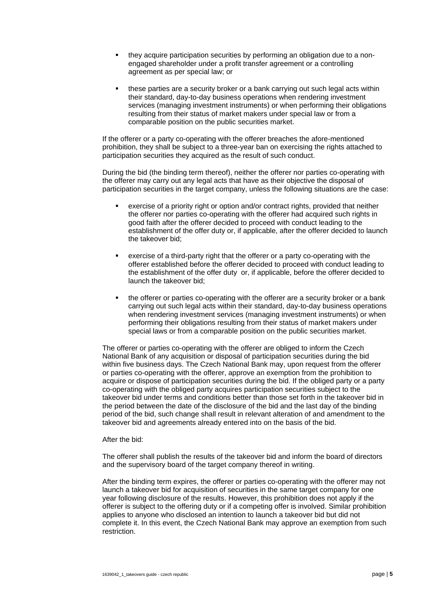- they acquire participation securities by performing an obligation due to a nonengaged shareholder under a profit transfer agreement or a controlling agreement as per special law; or
- these parties are a security broker or a bank carrying out such legal acts within their standard, day-to-day business operations when rendering investment services (managing investment instruments) or when performing their obligations resulting from their status of market makers under special law or from a comparable position on the public securities market.

If the offerer or a party co-operating with the offerer breaches the afore-mentioned prohibition, they shall be subject to a three-year ban on exercising the rights attached to participation securities they acquired as the result of such conduct.

During the bid (the binding term thereof), neither the offerer nor parties co-operating with the offerer may carry out any legal acts that have as their objective the disposal of participation securities in the target company, unless the following situations are the case:

- exercise of a priority right or option and/or contract rights, provided that neither the offerer nor parties co-operating with the offerer had acquired such rights in good faith after the offerer decided to proceed with conduct leading to the establishment of the offer duty or, if applicable, after the offerer decided to launch the takeover bid;
- exercise of a third-party right that the offerer or a party co-operating with the offerer established before the offerer decided to proceed with conduct leading to the establishment of the offer duty or, if applicable, before the offerer decided to launch the takeover bid;
- the offerer or parties co-operating with the offerer are a security broker or a bank carrying out such legal acts within their standard, day-to-day business operations when rendering investment services (managing investment instruments) or when performing their obligations resulting from their status of market makers under special laws or from a comparable position on the public securities market.

The offerer or parties co-operating with the offerer are obliged to inform the Czech National Bank of any acquisition or disposal of participation securities during the bid within five business days. The Czech National Bank may, upon request from the offerer or parties co-operating with the offerer, approve an exemption from the prohibition to acquire or dispose of participation securities during the bid. If the obliged party or a party co-operating with the obliged party acquires participation securities subject to the takeover bid under terms and conditions better than those set forth in the takeover bid in the period between the date of the disclosure of the bid and the last day of the binding period of the bid, such change shall result in relevant alteration of and amendment to the takeover bid and agreements already entered into on the basis of the bid.

#### After the bid:

The offerer shall publish the results of the takeover bid and inform the board of directors and the supervisory board of the target company thereof in writing.

After the binding term expires, the offerer or parties co-operating with the offerer may not launch a takeover bid for acquisition of securities in the same target company for one year following disclosure of the results. However, this prohibition does not apply if the offerer is subject to the offering duty or if a competing offer is involved. Similar prohibition applies to anyone who disclosed an intention to launch a takeover bid but did not complete it. In this event, the Czech National Bank may approve an exemption from such restriction.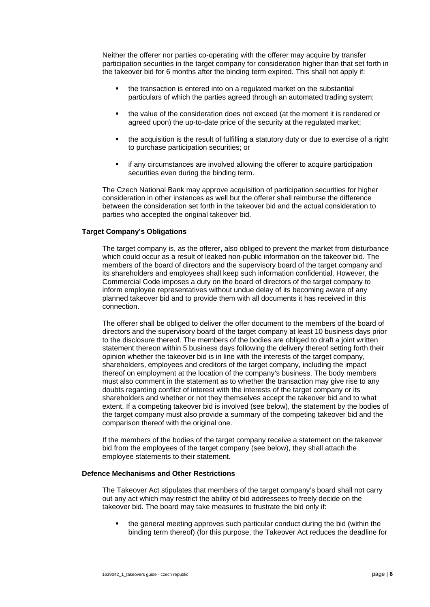Neither the offerer nor parties co-operating with the offerer may acquire by transfer participation securities in the target company for consideration higher than that set forth in the takeover bid for 6 months after the binding term expired. This shall not apply if:

- the transaction is entered into on a regulated market on the substantial particulars of which the parties agreed through an automated trading system;
- the value of the consideration does not exceed (at the moment it is rendered or agreed upon) the up-to-date price of the security at the regulated market;
- the acquisition is the result of fulfilling a statutory duty or due to exercise of a right to purchase participation securities; or
- if any circumstances are involved allowing the offerer to acquire participation securities even during the binding term.

The Czech National Bank may approve acquisition of participation securities for higher consideration in other instances as well but the offerer shall reimburse the difference between the consideration set forth in the takeover bid and the actual consideration to parties who accepted the original takeover bid.

# **Target Company's Obligations**

The target company is, as the offerer, also obliged to prevent the market from disturbance which could occur as a result of leaked non-public information on the takeover bid. The members of the board of directors and the supervisory board of the target company and its shareholders and employees shall keep such information confidential. However, the Commercial Code imposes a duty on the board of directors of the target company to inform employee representatives without undue delay of its becoming aware of any planned takeover bid and to provide them with all documents it has received in this connection.

The offerer shall be obliged to deliver the offer document to the members of the board of directors and the supervisory board of the target company at least 10 business days prior to the disclosure thereof. The members of the bodies are obliged to draft a joint written statement thereon within 5 business days following the delivery thereof setting forth their opinion whether the takeover bid is in line with the interests of the target company, shareholders, employees and creditors of the target company, including the impact thereof on employment at the location of the company's business. The body members must also comment in the statement as to whether the transaction may give rise to any doubts regarding conflict of interest with the interests of the target company or its shareholders and whether or not they themselves accept the takeover bid and to what extent. If a competing takeover bid is involved (see below), the statement by the bodies of the target company must also provide a summary of the competing takeover bid and the comparison thereof with the original one.

If the members of the bodies of the target company receive a statement on the takeover bid from the employees of the target company (see below), they shall attach the employee statements to their statement.

# **Defence Mechanisms and Other Restrictions**

The Takeover Act stipulates that members of the target company's board shall not carry out any act which may restrict the ability of bid addressees to freely decide on the takeover bid. The board may take measures to frustrate the bid only if:

 the general meeting approves such particular conduct during the bid (within the binding term thereof) (for this purpose, the Takeover Act reduces the deadline for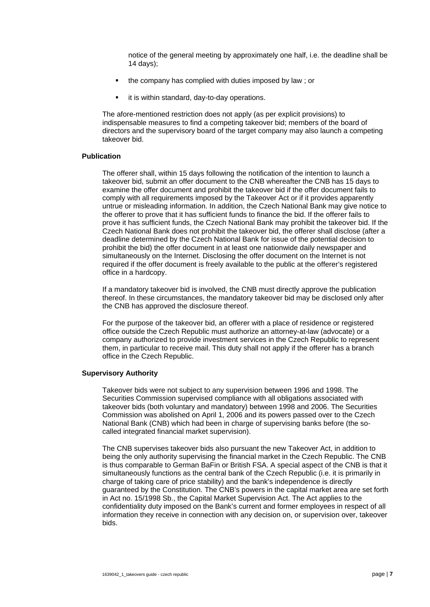notice of the general meeting by approximately one half, i.e. the deadline shall be 14 days);

- the company has complied with duties imposed by law ; or
- it is within standard, day-to-day operations.

The afore-mentioned restriction does not apply (as per explicit provisions) to indispensable measures to find a competing takeover bid; members of the board of directors and the supervisory board of the target company may also launch a competing takeover bid.

# **Publication**

The offerer shall, within 15 days following the notification of the intention to launch a takeover bid, submit an offer document to the CNB whereafter the CNB has 15 days to examine the offer document and prohibit the takeover bid if the offer document fails to comply with all requirements imposed by the Takeover Act or if it provides apparently untrue or misleading information. In addition, the Czech National Bank may give notice to the offerer to prove that it has sufficient funds to finance the bid. If the offerer fails to prove it has sufficient funds, the Czech National Bank may prohibit the takeover bid. If the Czech National Bank does not prohibit the takeover bid, the offerer shall disclose (after a deadline determined by the Czech National Bank for issue of the potential decision to prohibit the bid) the offer document in at least one nationwide daily newspaper and simultaneously on the Internet. Disclosing the offer document on the Internet is not required if the offer document is freely available to the public at the offerer's registered office in a hardcopy.

If a mandatory takeover bid is involved, the CNB must directly approve the publication thereof. In these circumstances, the mandatory takeover bid may be disclosed only after the CNB has approved the disclosure thereof.

For the purpose of the takeover bid, an offerer with a place of residence or registered office outside the Czech Republic must authorize an attorney-at-law (advocate) or a company authorized to provide investment services in the Czech Republic to represent them, in particular to receive mail. This duty shall not apply if the offerer has a branch office in the Czech Republic.

#### **Supervisory Authority**

Takeover bids were not subject to any supervision between 1996 and 1998. The Securities Commission supervised compliance with all obligations associated with takeover bids (both voluntary and mandatory) between 1998 and 2006. The Securities Commission was abolished on April 1, 2006 and its powers passed over to the Czech National Bank (CNB) which had been in charge of supervising banks before (the socalled integrated financial market supervision).

The CNB supervises takeover bids also pursuant the new Takeover Act, in addition to being the only authority supervising the financial market in the Czech Republic. The CNB is thus comparable to German BaFin or British FSA. A special aspect of the CNB is that it simultaneously functions as the central bank of the Czech Republic (i.e. it is primarily in charge of taking care of price stability) and the bank's independence is directly guaranteed by the Constitution. The CNB's powers in the capital market area are set forth in Act no. 15/1998 Sb., the Capital Market Supervision Act. The Act applies to the confidentiality duty imposed on the Bank's current and former employees in respect of all information they receive in connection with any decision on, or supervision over, takeover bids.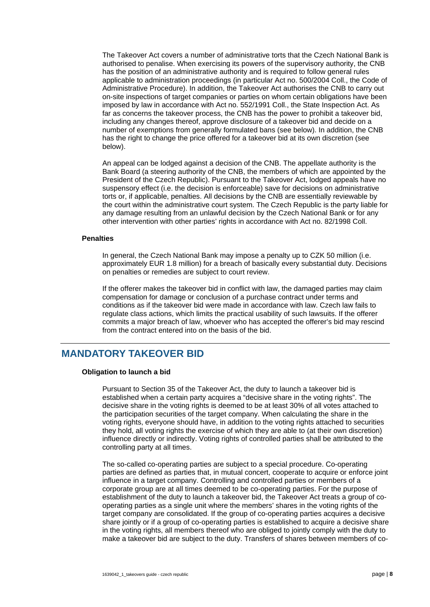<span id="page-9-0"></span>The Takeover Act covers a number of administrative torts that the Czech National Bank is authorised to penalise. When exercising its powers of the supervisory authority, the CNB has the position of an administrative authority and is required to follow general rules applicable to administration proceedings (in particular Act no. 500/2004 Coll., the Code of Administrative Procedure). In addition, the Takeover Act authorises the CNB to carry out on-site inspections of target companies or parties on whom certain obligations have been imposed by law in accordance with Act no. 552/1991 Coll., the State Inspection Act. As far as concerns the takeover process, the CNB has the power to prohibit a takeover bid, including any changes thereof, approve disclosure of a takeover bid and decide on a number of exemptions from generally formulated bans (see below). In addition, the CNB has the right to change the price offered for a takeover bid at its own discretion (see below).

An appeal can be lodged against a decision of the CNB. The appellate authority is the Bank Board (a steering authority of the CNB, the members of which are appointed by the President of the Czech Republic). Pursuant to the Takeover Act, lodged appeals have no suspensory effect (i.e. the decision is enforceable) save for decisions on administrative torts or, if applicable, penalties. All decisions by the CNB are essentially reviewable by the court within the administrative court system. The Czech Republic is the party liable for any damage resulting from an unlawful decision by the Czech National Bank or for any other intervention with other parties' rights in accordance with Act no. 82/1998 Coll.

#### **Penalties**

In general, the Czech National Bank may impose a penalty up to CZK 50 million (i.e. approximately EUR 1.8 million) for a breach of basically every substantial duty. Decisions on penalties or remedies are subject to court review.

If the offerer makes the takeover bid in conflict with law, the damaged parties may claim compensation for damage or conclusion of a purchase contract under terms and conditions as if the takeover bid were made in accordance with law. Czech law fails to regulate class actions, which limits the practical usability of such lawsuits. If the offerer commits a major breach of law, whoever who has accepted the offerer's bid may rescind from the contract entered into on the basis of the bid.

# **MANDATORY TAKEOVER BID**

#### **Obligation to launch a bid**

Pursuant to Section 35 of the Takeover Act, the duty to launch a takeover bid is established when a certain party acquires a "decisive share in the voting rights". The decisive share in the voting rights is deemed to be at least 30% of all votes attached to the participation securities of the target company. When calculating the share in the voting rights, everyone should have, in addition to the voting rights attached to securities they hold, all voting rights the exercise of which they are able to (at their own discretion) influence directly or indirectly. Voting rights of controlled parties shall be attributed to the controlling party at all times.

The so-called co-operating parties are subject to a special procedure. Co-operating parties are defined as parties that, in mutual concert, cooperate to acquire or enforce joint influence in a target company. Controlling and controlled parties or members of a corporate group are at all times deemed to be co-operating parties. For the purpose of establishment of the duty to launch a takeover bid, the Takeover Act treats a group of cooperating parties as a single unit where the members' shares in the voting rights of the target company are consolidated. If the group of co-operating parties acquires a decisive share jointly or if a group of co-operating parties is established to acquire a decisive share in the voting rights, all members thereof who are obliged to jointly comply with the duty to make a takeover bid are subject to the duty. Transfers of shares between members of co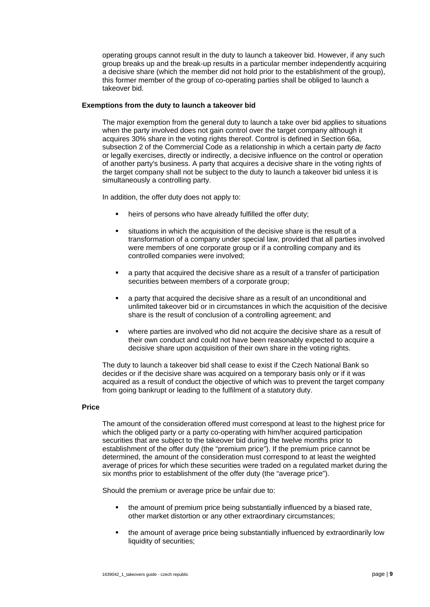operating groups cannot result in the duty to launch a takeover bid. However, if any such group breaks up and the break-up results in a particular member independently acquiring a decisive share (which the member did not hold prior to the establishment of the group), this former member of the group of co-operating parties shall be obliged to launch a takeover bid.

## **Exemptions from the duty to launch a takeover bid**

The major exemption from the general duty to launch a take over bid applies to situations when the party involved does not gain control over the target company although it acquires 30% share in the voting rights thereof. Control is defined in Section 66a, subsection 2 of the Commercial Code as a relationship in which a certain party *de facto* or legally exercises, directly or indirectly, a decisive influence on the control or operation of another party's business. A party that acquires a decisive share in the voting rights of the target company shall not be subject to the duty to launch a takeover bid unless it is simultaneously a controlling party.

In addition, the offer duty does not apply to:

- heirs of persons who have already fulfilled the offer duty;
- situations in which the acquisition of the decisive share is the result of a transformation of a company under special law, provided that all parties involved were members of one corporate group or if a controlling company and its controlled companies were involved;
- a party that acquired the decisive share as a result of a transfer of participation securities between members of a corporate group:
- a party that acquired the decisive share as a result of an unconditional and unlimited takeover bid or in circumstances in which the acquisition of the decisive share is the result of conclusion of a controlling agreement; and
- where parties are involved who did not acquire the decisive share as a result of their own conduct and could not have been reasonably expected to acquire a decisive share upon acquisition of their own share in the voting rights.

The duty to launch a takeover bid shall cease to exist if the Czech National Bank so decides or if the decisive share was acquired on a temporary basis only or if it was acquired as a result of conduct the objective of which was to prevent the target company from going bankrupt or leading to the fulfilment of a statutory duty.

# **Price**

The amount of the consideration offered must correspond at least to the highest price for which the obliged party or a party co-operating with him/her acquired participation securities that are subject to the takeover bid during the twelve months prior to establishment of the offer duty (the "premium price"). If the premium price cannot be determined, the amount of the consideration must correspond to at least the weighted average of prices for which these securities were traded on a regulated market during the six months prior to establishment of the offer duty (the "average price").

Should the premium or average price be unfair due to:

- the amount of premium price being substantially influenced by a biased rate, other market distortion or any other extraordinary circumstances;
- the amount of average price being substantially influenced by extraordinarily low liquidity of securities;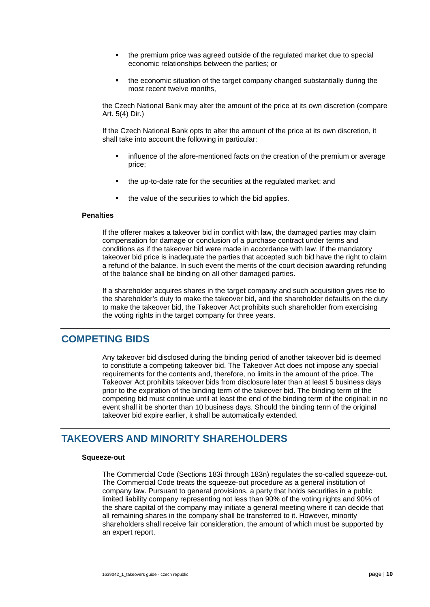- <span id="page-11-0"></span> the premium price was agreed outside of the regulated market due to special economic relationships between the parties; or
- the economic situation of the target company changed substantially during the most recent twelve months,

the Czech National Bank may alter the amount of the price at its own discretion (compare Art. 5(4) Dir.)

If the Czech National Bank opts to alter the amount of the price at its own discretion, it shall take into account the following in particular:

- influence of the afore-mentioned facts on the creation of the premium or average price;
- the up-to-date rate for the securities at the regulated market; and
- the value of the securities to which the bid applies.

#### **Penalties**

If the offerer makes a takeover bid in conflict with law, the damaged parties may claim compensation for damage or conclusion of a purchase contract under terms and conditions as if the takeover bid were made in accordance with law. If the mandatory takeover bid price is inadequate the parties that accepted such bid have the right to claim a refund of the balance. In such event the merits of the court decision awarding refunding of the balance shall be binding on all other damaged parties.

If a shareholder acquires shares in the target company and such acquisition gives rise to the shareholder's duty to make the takeover bid, and the shareholder defaults on the duty to make the takeover bid, the Takeover Act prohibits such shareholder from exercising the voting rights in the target company for three years.

# **COMPETING BIDS**

Any takeover bid disclosed during the binding period of another takeover bid is deemed to constitute a competing takeover bid. The Takeover Act does not impose any special requirements for the contents and, therefore, no limits in the amount of the price. The Takeover Act prohibits takeover bids from disclosure later than at least 5 business days prior to the expiration of the binding term of the takeover bid. The binding term of the competing bid must continue until at least the end of the binding term of the original; in no event shall it be shorter than 10 business days. Should the binding term of the original takeover bid expire earlier, it shall be automatically extended.

# **TAKEOVERS AND MINORITY SHAREHOLDERS**

# **Squeeze-out**

The Commercial Code (Sections 183i through 183n) regulates the so-called squeeze-out. The Commercial Code treats the squeeze-out procedure as a general institution of company law. Pursuant to general provisions, a party that holds securities in a public limited liability company representing not less than 90% of the voting rights and 90% of the share capital of the company may initiate a general meeting where it can decide that all remaining shares in the company shall be transferred to it. However, minority shareholders shall receive fair consideration, the amount of which must be supported by an expert report.